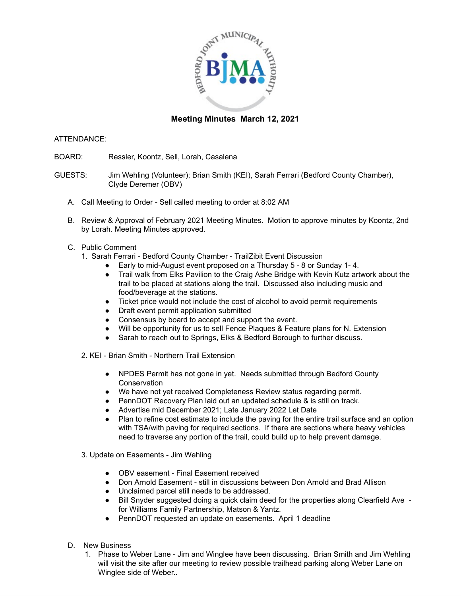

## **Meeting Minutes March 12, 2021**

## ATTENDANCE:

BOARD: Ressler, Koontz, Sell, Lorah, Casalena

GUESTS: Jim Wehling (Volunteer); Brian Smith (KEI), Sarah Ferrari (Bedford County Chamber), Clyde Deremer (OBV)

- A. Call Meeting to Order Sell called meeting to order at 8:02 AM
- B. Review & Approval of February 2021 Meeting Minutes. Motion to approve minutes by Koontz, 2nd by Lorah. Meeting Minutes approved.
- C. Public Comment
	- 1. Sarah Ferrari Bedford County Chamber TrailZibit Event Discussion
		- Early to mid-August event proposed on a Thursday 5 8 or Sunday 1- 4.
		- Trail walk from Elks Pavilion to the Craig Ashe Bridge with Kevin Kutz artwork about the trail to be placed at stations along the trail. Discussed also including music and food/beverage at the stations.
		- Ticket price would not include the cost of alcohol to avoid permit requirements
		- Draft event permit application submitted
		- Consensus by board to accept and support the event.
		- Will be opportunity for us to sell Fence Plaques & Feature plans for N. Extension
		- Sarah to reach out to Springs, Elks & Bedford Borough to further discuss.
	- 2. KEI Brian Smith Northern Trail Extension
		- NPDES Permit has not gone in yet. Needs submitted through Bedford County **Conservation**
		- We have not yet received Completeness Review status regarding permit.
		- PennDOT Recovery Plan laid out an updated schedule & is still on track.
		- Advertise mid December 2021; Late January 2022 Let Date
		- Plan to refine cost estimate to include the paving for the entire trail surface and an option with TSA/with paving for required sections. If there are sections where heavy vehicles need to traverse any portion of the trail, could build up to help prevent damage.
	- 3. Update on Easements Jim Wehling
		- OBV easement Final Easement received
		- Don Arnold Easement still in discussions between Don Arnold and Brad Allison
		- Unclaimed parcel still needs to be addressed.
		- Bill Snyder suggested doing a quick claim deed for the properties along Clearfield Ave for Williams Family Partnership, Matson & Yantz.
		- PennDOT requested an update on easements. April 1 deadline
- D. New Business
	- 1. Phase to Weber Lane Jim and Winglee have been discussing. Brian Smith and Jim Wehling will visit the site after our meeting to review possible trailhead parking along Weber Lane on Winglee side of Weber..